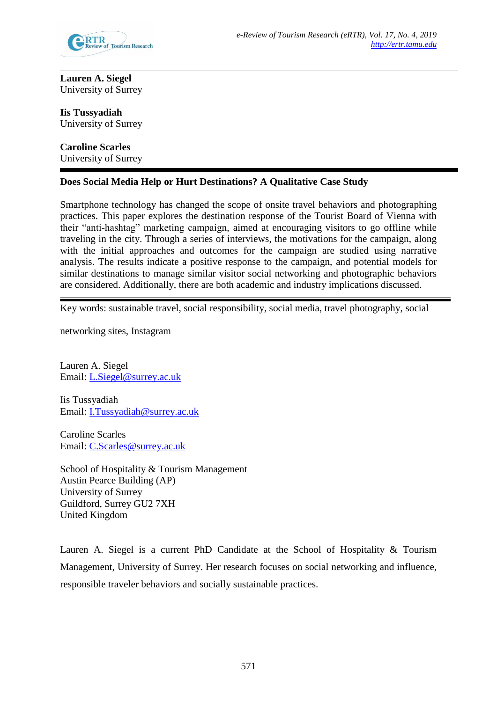

**Lauren A. Siegel** University of Surrey

**Iis Tussyadiah** University of Surrey

**Caroline Scarles** University of Surrey

# **Does Social Media Help or Hurt Destinations? A Qualitative Case Study**

Smartphone technology has changed the scope of onsite travel behaviors and photographing practices. This paper explores the destination response of the Tourist Board of Vienna with their "anti-hashtag" marketing campaign, aimed at encouraging visitors to go offline while traveling in the city. Through a series of interviews, the motivations for the campaign, along with the initial approaches and outcomes for the campaign are studied using narrative analysis. The results indicate a positive response to the campaign, and potential models for similar destinations to manage similar visitor social networking and photographic behaviors are considered. Additionally, there are both academic and industry implications discussed.

Key words: sustainable travel, social responsibility, social media, travel photography, social

networking sites, Instagram

Lauren A. Siegel Email: [L.Siegel@surrey.ac.uk](mailto:L.Siegel@surrey.ac.uk)

Iis Tussyadiah Email: [I.Tussyadiah@surrey.ac.uk](mailto:I.Tussyadiah@surrey.ac.uk)

Caroline Scarles Email: [C.Scarles@surrey.ac.uk](mailto:C.Scarles@surrey.ac.uk)

School of Hospitality & Tourism Management Austin Pearce Building (AP) University of Surrey Guildford, Surrey GU2 7XH United Kingdom

Lauren A. Siegel is a current PhD Candidate at the School of Hospitality & Tourism Management, University of Surrey. Her research focuses on social networking and influence, responsible traveler behaviors and socially sustainable practices.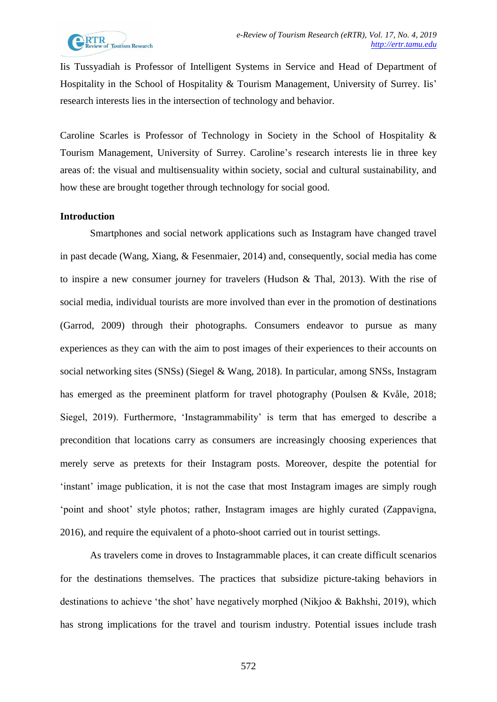Iis Tussyadiah is Professor of Intelligent Systems in Service and Head of Department of Hospitality in the School of Hospitality & Tourism Management, University of Surrey. Iis' research interests lies in the intersection of technology and behavior.

Caroline Scarles is Professor of Technology in Society in the School of Hospitality & Tourism Management, University of Surrey. Caroline's research interests lie in three key areas of: the visual and multisensuality within society, social and cultural sustainability, and how these are brought together through technology for social good.

### **Introduction**

Smartphones and social network applications such as Instagram have changed travel in past decade (Wang, Xiang, & Fesenmaier, 2014) and, consequently, social media has come to inspire a new consumer journey for travelers (Hudson & Thal, 2013). With the rise of social media, individual tourists are more involved than ever in the promotion of destinations (Garrod, 2009) through their photographs. Consumers endeavor to pursue as many experiences as they can with the aim to post images of their experiences to their accounts on social networking sites (SNSs) (Siegel & Wang, 2018). In particular, among SNSs, Instagram has emerged as the preeminent platform for travel photography (Poulsen & Kvåle, 2018; Siegel, 2019). Furthermore, 'Instagrammability' is term that has emerged to describe a precondition that locations carry as consumers are increasingly choosing experiences that merely serve as pretexts for their Instagram posts. Moreover, despite the potential for 'instant' image publication, it is not the case that most Instagram images are simply rough 'point and shoot' style photos; rather, Instagram images are highly curated (Zappavigna, 2016), and require the equivalent of a photo-shoot carried out in tourist settings.

As travelers come in droves to Instagrammable places, it can create difficult scenarios for the destinations themselves. The practices that subsidize picture-taking behaviors in destinations to achieve 'the shot' have negatively morphed (Nikjoo & Bakhshi, 2019), which has strong implications for the travel and tourism industry. Potential issues include trash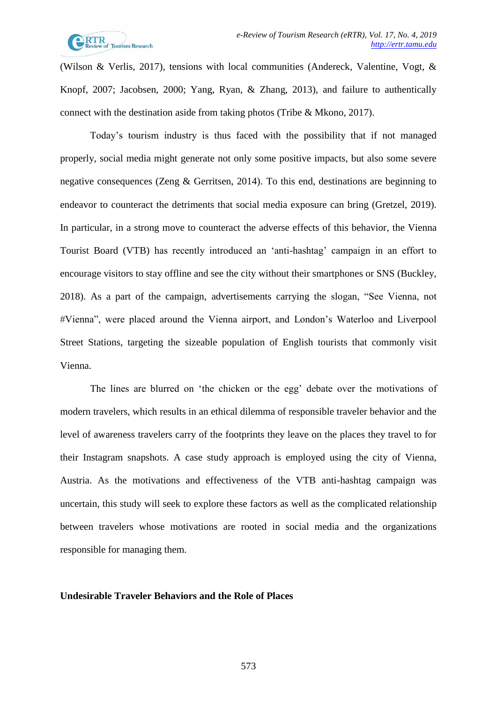

(Wilson & Verlis, 2017), tensions with local communities (Andereck, Valentine, Vogt, & Knopf, 2007; Jacobsen, 2000; Yang, Ryan, & Zhang, 2013), and failure to authentically connect with the destination aside from taking photos (Tribe & Mkono, 2017).

Today's tourism industry is thus faced with the possibility that if not managed properly, social media might generate not only some positive impacts, but also some severe negative consequences (Zeng & Gerritsen, 2014). To this end, destinations are beginning to endeavor to counteract the detriments that social media exposure can bring (Gretzel, 2019). In particular, in a strong move to counteract the adverse effects of this behavior, the Vienna Tourist Board (VTB) has recently introduced an 'anti-hashtag' campaign in an effort to encourage visitors to stay offline and see the city without their smartphones or SNS (Buckley, 2018). As a part of the campaign, advertisements carrying the slogan, "See Vienna, not #Vienna", were placed around the Vienna airport, and London's Waterloo and Liverpool Street Stations, targeting the sizeable population of English tourists that commonly visit Vienna.

The lines are blurred on 'the chicken or the egg' debate over the motivations of modern travelers, which results in an ethical dilemma of responsible traveler behavior and the level of awareness travelers carry of the footprints they leave on the places they travel to for their Instagram snapshots. A case study approach is employed using the city of Vienna, Austria. As the motivations and effectiveness of the VTB anti-hashtag campaign was uncertain, this study will seek to explore these factors as well as the complicated relationship between travelers whose motivations are rooted in social media and the organizations responsible for managing them.

#### **Undesirable Traveler Behaviors and the Role of Places**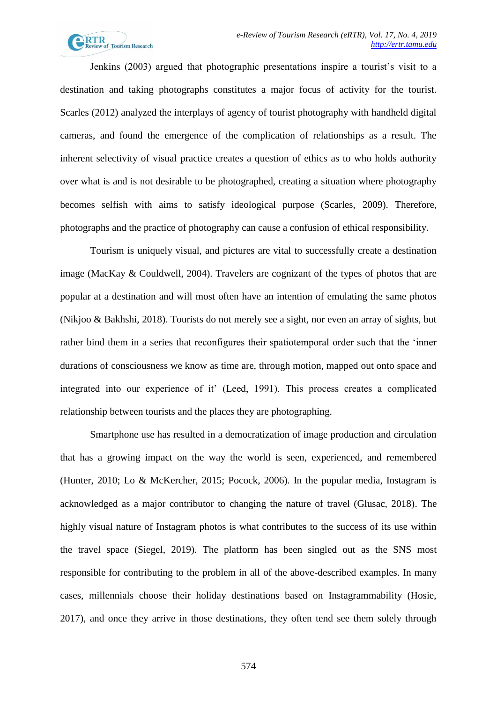

Jenkins (2003) argued that photographic presentations inspire a tourist's visit to a destination and taking photographs constitutes a major focus of activity for the tourist. Scarles (2012) analyzed the interplays of agency of tourist photography with handheld digital cameras, and found the emergence of the complication of relationships as a result. The inherent selectivity of visual practice creates a question of ethics as to who holds authority over what is and is not desirable to be photographed, creating a situation where photography becomes selfish with aims to satisfy ideological purpose (Scarles, 2009). Therefore, photographs and the practice of photography can cause a confusion of ethical responsibility.

Tourism is uniquely visual, and pictures are vital to successfully create a destination image (MacKay & Couldwell, 2004). Travelers are cognizant of the types of photos that are popular at a destination and will most often have an intention of emulating the same photos (Nikjoo & Bakhshi, 2018). Tourists do not merely see a sight, nor even an array of sights, but rather bind them in a series that reconfigures their spatiotemporal order such that the 'inner durations of consciousness we know as time are, through motion, mapped out onto space and integrated into our experience of it' (Leed, 1991). This process creates a complicated relationship between tourists and the places they are photographing.

Smartphone use has resulted in a democratization of image production and circulation that has a growing impact on the way the world is seen, experienced, and remembered (Hunter, 2010; Lo & McKercher, 2015; Pocock, 2006). In the popular media, Instagram is acknowledged as a major contributor to changing the nature of travel (Glusac, 2018). The highly visual nature of Instagram photos is what contributes to the success of its use within the travel space (Siegel, 2019). The platform has been singled out as the SNS most responsible for contributing to the problem in all of the above-described examples. In many cases, millennials choose their holiday destinations based on Instagrammability (Hosie, 2017), and once they arrive in those destinations, they often tend see them solely through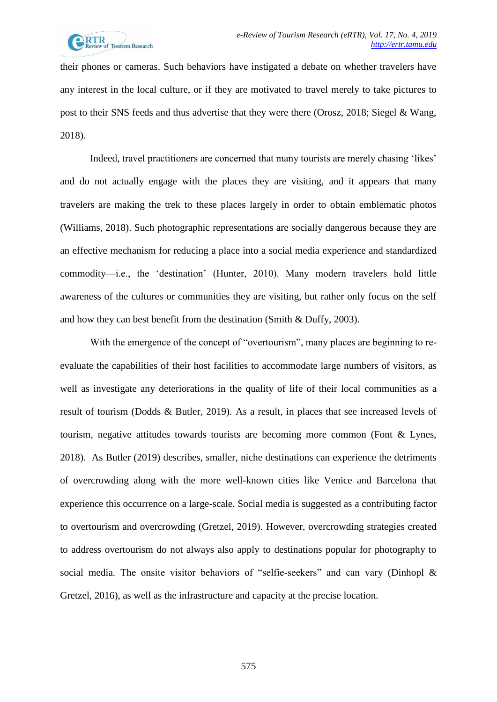their phones or cameras. Such behaviors have instigated a debate on whether travelers have any interest in the local culture, or if they are motivated to travel merely to take pictures to post to their SNS feeds and thus advertise that they were there (Orosz, 2018; Siegel & Wang, 2018).

Indeed, travel practitioners are concerned that many tourists are merely chasing 'likes' and do not actually engage with the places they are visiting, and it appears that many travelers are making the trek to these places largely in order to obtain emblematic photos (Williams, 2018). Such photographic representations are socially dangerous because they are an effective mechanism for reducing a place into a social media experience and standardized commodity—i.e., the 'destination' (Hunter, 2010). Many modern travelers hold little awareness of the cultures or communities they are visiting, but rather only focus on the self and how they can best benefit from the destination (Smith & Duffy, 2003).

With the emergence of the concept of "overtourism", many places are beginning to reevaluate the capabilities of their host facilities to accommodate large numbers of visitors, as well as investigate any deteriorations in the quality of life of their local communities as a result of tourism (Dodds & Butler, 2019). As a result, in places that see increased levels of tourism, negative attitudes towards tourists are becoming more common (Font & Lynes, 2018). As Butler (2019) describes, smaller, niche destinations can experience the detriments of overcrowding along with the more well-known cities like Venice and Barcelona that experience this occurrence on a large-scale. Social media is suggested as a contributing factor to overtourism and overcrowding (Gretzel, 2019). However, overcrowding strategies created to address overtourism do not always also apply to destinations popular for photography to social media. The onsite visitor behaviors of "selfie-seekers" and can vary (Dinhopl & Gretzel, 2016), as well as the infrastructure and capacity at the precise location.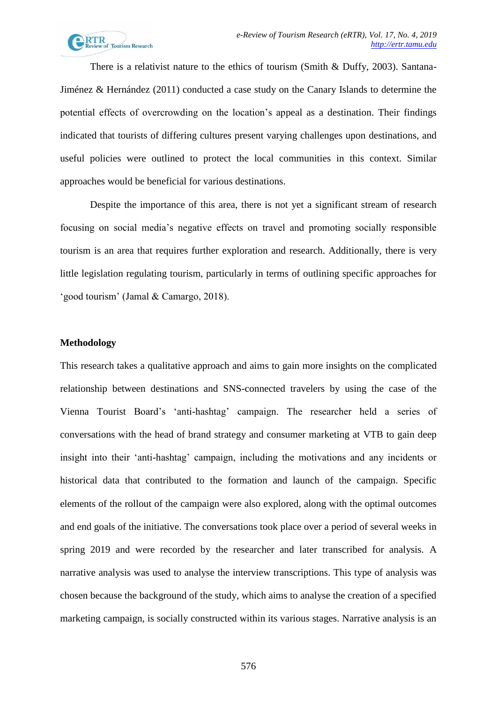

There is a relativist nature to the ethics of tourism (Smith & Duffy, 2003). Santana-Jiménez & Hernández (2011) conducted a case study on the Canary Islands to determine the potential effects of overcrowding on the location's appeal as a destination. Their findings indicated that tourists of differing cultures present varying challenges upon destinations, and useful policies were outlined to protect the local communities in this context. Similar approaches would be beneficial for various destinations.

Despite the importance of this area, there is not yet a significant stream of research focusing on social media's negative effects on travel and promoting socially responsible tourism is an area that requires further exploration and research. Additionally, there is very little legislation regulating tourism, particularly in terms of outlining specific approaches for 'good tourism' (Jamal & Camargo, 2018).

### **Methodology**

This research takes a qualitative approach and aims to gain more insights on the complicated relationship between destinations and SNS-connected travelers by using the case of the Vienna Tourist Board's 'anti-hashtag' campaign. The researcher held a series of conversations with the head of brand strategy and consumer marketing at VTB to gain deep insight into their 'anti-hashtag' campaign, including the motivations and any incidents or historical data that contributed to the formation and launch of the campaign. Specific elements of the rollout of the campaign were also explored, along with the optimal outcomes and end goals of the initiative. The conversations took place over a period of several weeks in spring 2019 and were recorded by the researcher and later transcribed for analysis. A narrative analysis was used to analyse the interview transcriptions. This type of analysis was chosen because the background of the study, which aims to analyse the creation of a specified marketing campaign, is socially constructed within its various stages. Narrative analysis is an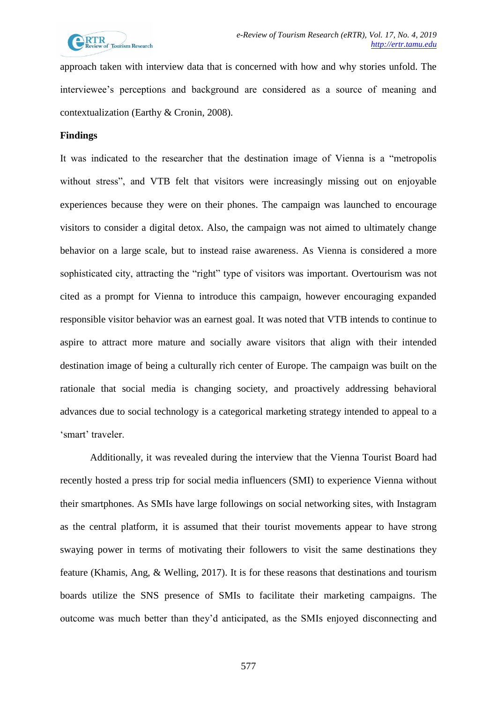

approach taken with interview data that is concerned with how and why stories unfold. The interviewee's perceptions and background are considered as a source of meaning and contextualization (Earthy & Cronin, 2008).

#### **Findings**

It was indicated to the researcher that the destination image of Vienna is a "metropolis without stress", and VTB felt that visitors were increasingly missing out on enjoyable experiences because they were on their phones. The campaign was launched to encourage visitors to consider a digital detox. Also, the campaign was not aimed to ultimately change behavior on a large scale, but to instead raise awareness. As Vienna is considered a more sophisticated city, attracting the "right" type of visitors was important. Overtourism was not cited as a prompt for Vienna to introduce this campaign, however encouraging expanded responsible visitor behavior was an earnest goal. It was noted that VTB intends to continue to aspire to attract more mature and socially aware visitors that align with their intended destination image of being a culturally rich center of Europe. The campaign was built on the rationale that social media is changing society, and proactively addressing behavioral advances due to social technology is a categorical marketing strategy intended to appeal to a 'smart' traveler.

Additionally, it was revealed during the interview that the Vienna Tourist Board had recently hosted a press trip for social media influencers (SMI) to experience Vienna without their smartphones. As SMIs have large followings on social networking sites, with Instagram as the central platform, it is assumed that their tourist movements appear to have strong swaying power in terms of motivating their followers to visit the same destinations they feature (Khamis, Ang, & Welling, 2017). It is for these reasons that destinations and tourism boards utilize the SNS presence of SMIs to facilitate their marketing campaigns. The outcome was much better than they'd anticipated, as the SMIs enjoyed disconnecting and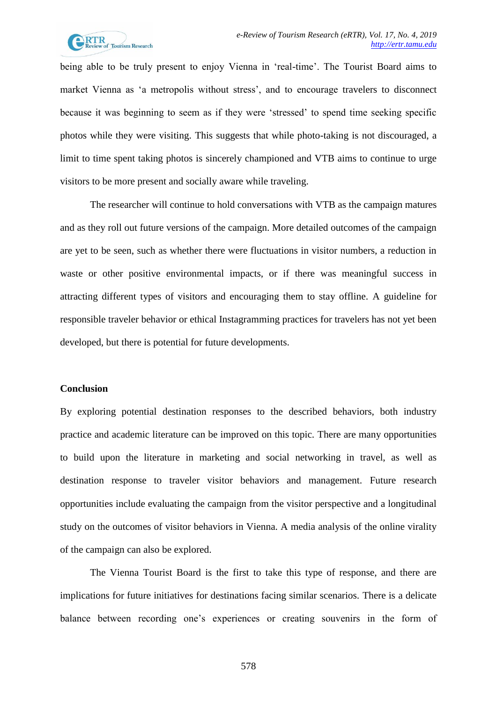

being able to be truly present to enjoy Vienna in 'real-time'. The Tourist Board aims to market Vienna as 'a metropolis without stress', and to encourage travelers to disconnect because it was beginning to seem as if they were 'stressed' to spend time seeking specific photos while they were visiting. This suggests that while photo-taking is not discouraged, a limit to time spent taking photos is sincerely championed and VTB aims to continue to urge visitors to be more present and socially aware while traveling.

The researcher will continue to hold conversations with VTB as the campaign matures and as they roll out future versions of the campaign. More detailed outcomes of the campaign are yet to be seen, such as whether there were fluctuations in visitor numbers, a reduction in waste or other positive environmental impacts, or if there was meaningful success in attracting different types of visitors and encouraging them to stay offline. A guideline for responsible traveler behavior or ethical Instagramming practices for travelers has not yet been developed, but there is potential for future developments.

# **Conclusion**

By exploring potential destination responses to the described behaviors, both industry practice and academic literature can be improved on this topic. There are many opportunities to build upon the literature in marketing and social networking in travel, as well as destination response to traveler visitor behaviors and management. Future research opportunities include evaluating the campaign from the visitor perspective and a longitudinal study on the outcomes of visitor behaviors in Vienna. A media analysis of the online virality of the campaign can also be explored.

The Vienna Tourist Board is the first to take this type of response, and there are implications for future initiatives for destinations facing similar scenarios. There is a delicate balance between recording one's experiences or creating souvenirs in the form of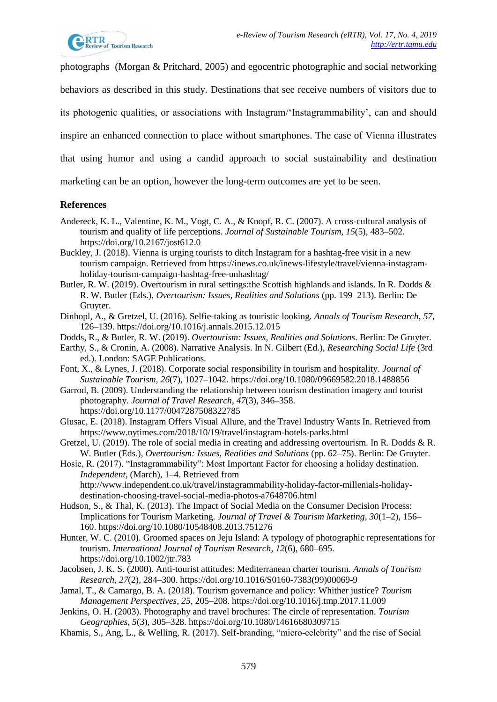photographs (Morgan & Pritchard, 2005) and egocentric photographic and social networking behaviors as described in this study. Destinations that see receive numbers of visitors due to its photogenic qualities, or associations with Instagram/'Instagrammability', can and should inspire an enhanced connection to place without smartphones. The case of Vienna illustrates that using humor and using a candid approach to social sustainability and destination marketing can be an option, however the long-term outcomes are yet to be seen.

# **References**

- Andereck, K. L., Valentine, K. M., Vogt, C. A., & Knopf, R. C. (2007). A cross-cultural analysis of tourism and quality of life perceptions. *Journal of Sustainable Tourism*, *15*(5), 483–502. https://doi.org/10.2167/jost612.0
- Buckley, J. (2018). Vienna is urging tourists to ditch Instagram for a hashtag-free visit in a new tourism campaign. Retrieved from https://inews.co.uk/inews-lifestyle/travel/vienna-instagramholiday-tourism-campaign-hashtag-free-unhashtag/
- Butler, R. W. (2019). Overtourism in rural settings:the Scottish highlands and islands. In R. Dodds & R. W. Butler (Eds.), *Overtourism: Issues, Realities and Solutions* (pp. 199–213). Berlin: De Gruyter.
- Dinhopl, A., & Gretzel, U. (2016). Selfie-taking as touristic looking. *Annals of Tourism Research*, *57*, 126–139. https://doi.org/10.1016/j.annals.2015.12.015
- Dodds, R., & Butler, R. W. (2019). *Overtourism: Issues, Realities and Solutions*. Berlin: De Gruyter.
- Earthy, S., & Cronin, A. (2008). Narrative Analysis. In N. Gilbert (Ed.), *Researching Social Life* (3rd ed.). London: SAGE Publications.
- Font, X., & Lynes, J. (2018). Corporate social responsibility in tourism and hospitality. *Journal of Sustainable Tourism*, *26*(7), 1027–1042. https://doi.org/10.1080/09669582.2018.1488856
- Garrod, B. (2009). Understanding the relationship between tourism destination imagery and tourist photography. *Journal of Travel Research*, *47*(3), 346–358. https://doi.org/10.1177/0047287508322785
- Glusac, E. (2018). Instagram Offers Visual Allure, and the Travel Industry Wants In. Retrieved from https://www.nytimes.com/2018/10/19/travel/instagram-hotels-parks.html
- Gretzel, U. (2019). The role of social media in creating and addressing overtourism. In R. Dodds & R. W. Butler (Eds.), *Overtourism: Issues, Realities and Solutions* (pp. 62–75). Berlin: De Gruyter.
- Hosie, R. (2017). "Instagrammability": Most Important Factor for choosing a holiday destination. *Independent*, (March), 1–4. Retrieved from http://www.independent.co.uk/travel/instagrammability-holiday-factor-millenials-holidaydestination-choosing-travel-social-media-photos-a7648706.html
- Hudson, S., & Thal, K. (2013). The Impact of Social Media on the Consumer Decision Process: Implications for Tourism Marketing. *Journal of Travel & Tourism Marketing*, *30*(1–2), 156– 160. https://doi.org/10.1080/10548408.2013.751276
- Hunter, W. C. (2010). Groomed spaces on Jeju Island: A typology of photographic representations for tourism. *International Journal of Tourism Research*, *12*(6), 680–695. https://doi.org/10.1002/jtr.783
- Jacobsen, J. K. S. (2000). Anti-tourist attitudes: Mediterranean charter tourism. *Annals of Tourism Research*, *27*(2), 284–300. https://doi.org/10.1016/S0160-7383(99)00069-9
- Jamal, T., & Camargo, B. A. (2018). Tourism governance and policy: Whither justice? *Tourism Management Perspectives*, *25*, 205–208. https://doi.org/10.1016/j.tmp.2017.11.009
- Jenkins, O. H. (2003). Photography and travel brochures: The circle of representation. *Tourism Geographies*, *5*(3), 305–328. https://doi.org/10.1080/14616680309715
- Khamis, S., Ang, L., & Welling, R. (2017). Self-branding, "micro-celebrity" and the rise of Social